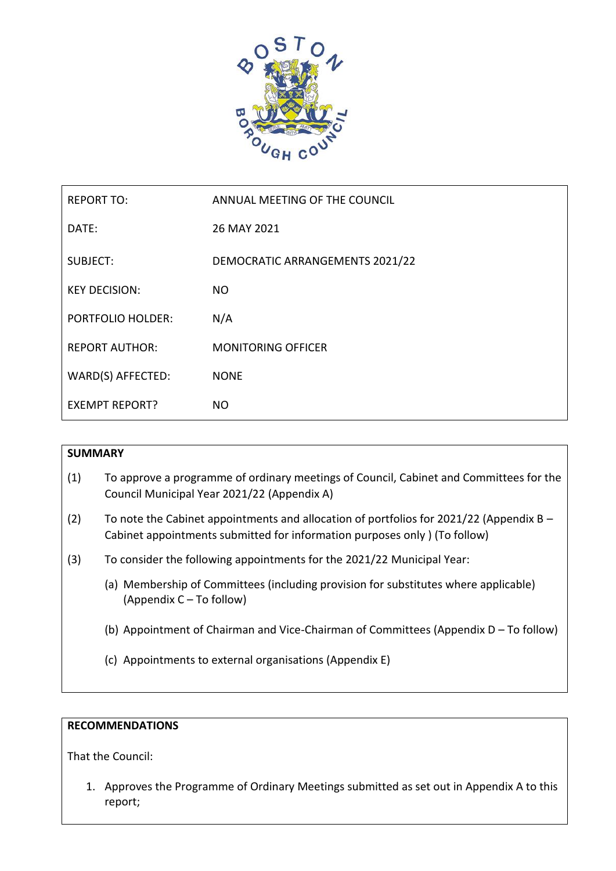

| <b>REPORT TO:</b>        | ANNUAL MEETING OF THE COUNCIL   |
|--------------------------|---------------------------------|
| DATE:                    | 26 MAY 2021                     |
| <b>SUBJECT:</b>          | DEMOCRATIC ARRANGEMENTS 2021/22 |
| <b>KEY DECISION:</b>     | <b>NO</b>                       |
| <b>PORTFOLIO HOLDER:</b> | N/A                             |
| <b>REPORT AUTHOR:</b>    | <b>MONITORING OFFICER</b>       |
| WARD(S) AFFECTED:        | <b>NONE</b>                     |
| <b>EXEMPT REPORT?</b>    | <b>NO</b>                       |

# **SUMMARY**

- (1) To approve a programme of ordinary meetings of Council, Cabinet and Committees for the Council Municipal Year 2021/22 (Appendix A)
- (2) To note the Cabinet appointments and allocation of portfolios for 2021/22 (Appendix  $B -$ Cabinet appointments submitted for information purposes only ) (To follow)
- (3) To consider the following appointments for the 2021/22 Municipal Year:
	- (a) Membership of Committees (including provision for substitutes where applicable) (Appendix C – To follow)
	- (b) Appointment of Chairman and Vice-Chairman of Committees (Appendix D To follow)
	- (c) Appointments to external organisations (Appendix E)

# **RECOMMENDATIONS**

That the Council:

1. Approves the Programme of Ordinary Meetings submitted as set out in Appendix A to this report;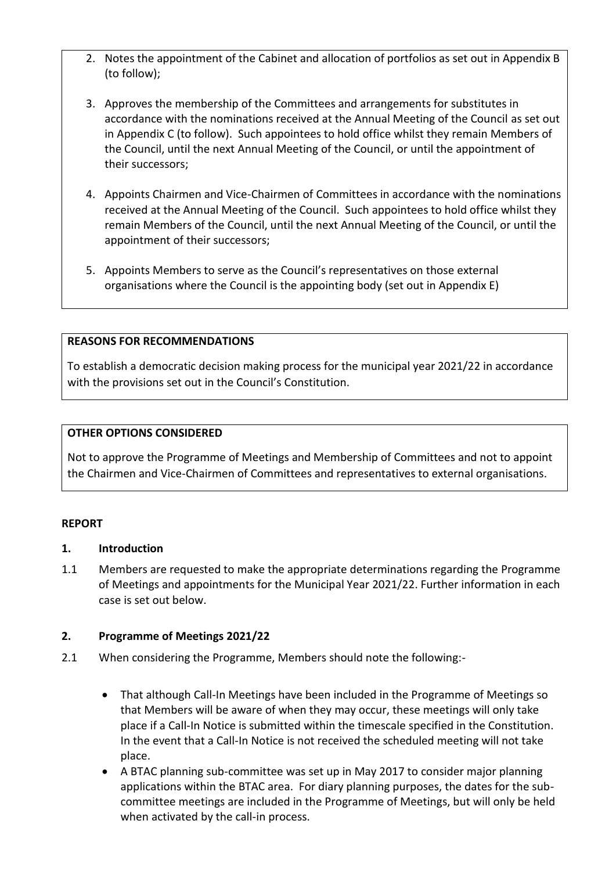- 2. Notes the appointment of the Cabinet and allocation of portfolios as set out in Appendix B (to follow);
- 3. Approves the membership of the Committees and arrangements for substitutes in accordance with the nominations received at the Annual Meeting of the Council as set out in Appendix C (to follow). Such appointees to hold office whilst they remain Members of the Council, until the next Annual Meeting of the Council, or until the appointment of their successors;
- 4. Appoints Chairmen and Vice-Chairmen of Committees in accordance with the nominations received at the Annual Meeting of the Council. Such appointees to hold office whilst they remain Members of the Council, until the next Annual Meeting of the Council, or until the appointment of their successors;
- 5. Appoints Members to serve as the Council's representatives on those external organisations where the Council is the appointing body (set out in Appendix E)

# **REASONS FOR RECOMMENDATIONS**

To establish a democratic decision making process for the municipal year 2021/22 in accordance with the provisions set out in the Council's Constitution.

## **OTHER OPTIONS CONSIDERED**

Not to approve the Programme of Meetings and Membership of Committees and not to appoint the Chairmen and Vice-Chairmen of Committees and representatives to external organisations.

## **REPORT**

## **1. Introduction**

1.1 Members are requested to make the appropriate determinations regarding the Programme of Meetings and appointments for the Municipal Year 2021/22. Further information in each case is set out below.

## **2. Programme of Meetings 2021/22**

- 2.1 When considering the Programme, Members should note the following:-
	- That although Call-In Meetings have been included in the Programme of Meetings so that Members will be aware of when they may occur, these meetings will only take place if a Call-In Notice is submitted within the timescale specified in the Constitution. In the event that a Call-In Notice is not received the scheduled meeting will not take place.
	- A BTAC planning sub-committee was set up in May 2017 to consider major planning applications within the BTAC area. For diary planning purposes, the dates for the subcommittee meetings are included in the Programme of Meetings, but will only be held when activated by the call-in process.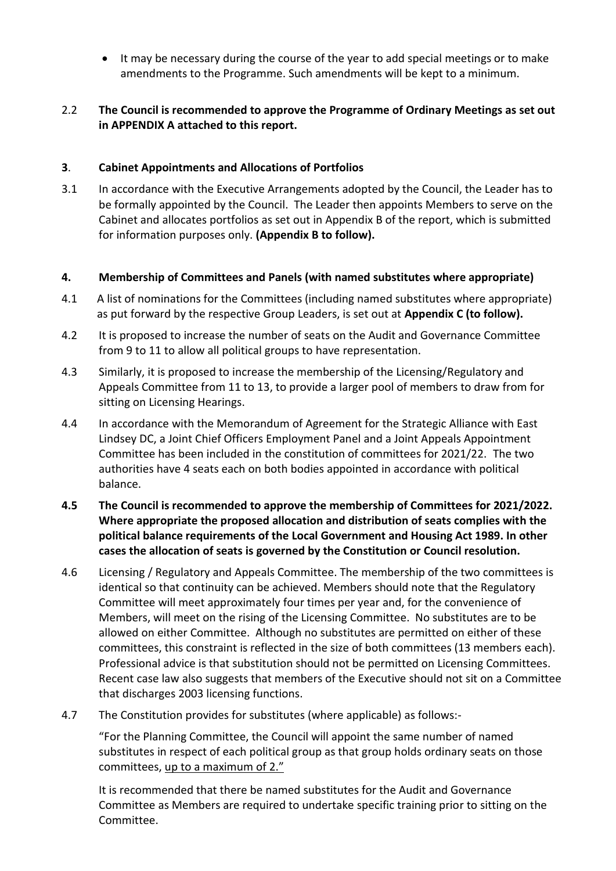It may be necessary during the course of the year to add special meetings or to make amendments to the Programme. Such amendments will be kept to a minimum.

# 2.2 **The Council is recommended to approve the Programme of Ordinary Meetings as set out in APPENDIX A attached to this report.**

# **3**. **Cabinet Appointments and Allocations of Portfolios**

3.1 In accordance with the Executive Arrangements adopted by the Council, the Leader has to be formally appointed by the Council. The Leader then appoints Members to serve on the Cabinet and allocates portfolios as set out in Appendix B of the report, which is submitted for information purposes only. **(Appendix B to follow).**

# **4. Membership of Committees and Panels (with named substitutes where appropriate)**

- 4.1 A list of nominations for the Committees (including named substitutes where appropriate) as put forward by the respective Group Leaders, is set out at **Appendix C (to follow).**
- 4.2 It is proposed to increase the number of seats on the Audit and Governance Committee from 9 to 11 to allow all political groups to have representation.
- 4.3 Similarly, it is proposed to increase the membership of the Licensing/Regulatory and Appeals Committee from 11 to 13, to provide a larger pool of members to draw from for sitting on Licensing Hearings.
- 4.4 In accordance with the Memorandum of Agreement for the Strategic Alliance with East Lindsey DC, a Joint Chief Officers Employment Panel and a Joint Appeals Appointment Committee has been included in the constitution of committees for 2021/22. The two authorities have 4 seats each on both bodies appointed in accordance with political balance.
- **4.5 The Council is recommended to approve the membership of Committees for 2021/2022. Where appropriate the proposed allocation and distribution of seats complies with the political balance requirements of the Local Government and Housing Act 1989. In other cases the allocation of seats is governed by the Constitution or Council resolution.**
- 4.6 Licensing / Regulatory and Appeals Committee. The membership of the two committees is identical so that continuity can be achieved. Members should note that the Regulatory Committee will meet approximately four times per year and, for the convenience of Members, will meet on the rising of the Licensing Committee. No substitutes are to be allowed on either Committee. Although no substitutes are permitted on either of these committees, this constraint is reflected in the size of both committees (13 members each). Professional advice is that substitution should not be permitted on Licensing Committees. Recent case law also suggests that members of the Executive should not sit on a Committee that discharges 2003 licensing functions.
- 4.7 The Constitution provides for substitutes (where applicable) as follows:-

"For the Planning Committee, the Council will appoint the same number of named substitutes in respect of each political group as that group holds ordinary seats on those committees, up to a maximum of 2."

It is recommended that there be named substitutes for the Audit and Governance Committee as Members are required to undertake specific training prior to sitting on the Committee.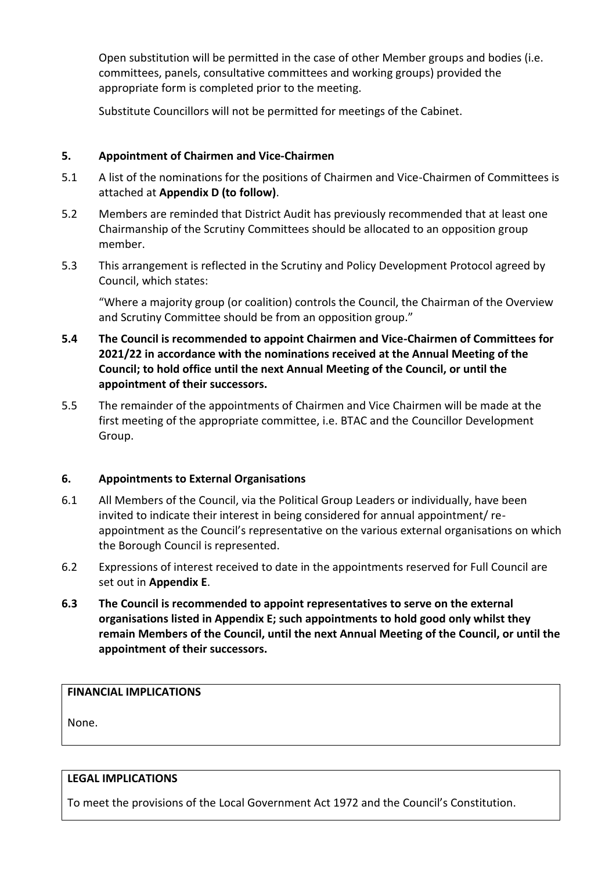Open substitution will be permitted in the case of other Member groups and bodies (i.e. committees, panels, consultative committees and working groups) provided the appropriate form is completed prior to the meeting.

Substitute Councillors will not be permitted for meetings of the Cabinet.

# **5. Appointment of Chairmen and Vice-Chairmen**

- 5.1 A list of the nominations for the positions of Chairmen and Vice-Chairmen of Committees is attached at **Appendix D (to follow)**.
- 5.2 Members are reminded that District Audit has previously recommended that at least one Chairmanship of the Scrutiny Committees should be allocated to an opposition group member.
- 5.3 This arrangement is reflected in the Scrutiny and Policy Development Protocol agreed by Council, which states:

"Where a majority group (or coalition) controls the Council, the Chairman of the Overview and Scrutiny Committee should be from an opposition group."

- **5.4 The Council is recommended to appoint Chairmen and Vice-Chairmen of Committees for 2021/22 in accordance with the nominations received at the Annual Meeting of the Council; to hold office until the next Annual Meeting of the Council, or until the appointment of their successors.**
- 5.5 The remainder of the appointments of Chairmen and Vice Chairmen will be made at the first meeting of the appropriate committee, i.e. BTAC and the Councillor Development Group.

# **6. Appointments to External Organisations**

- 6.1 All Members of the Council, via the Political Group Leaders or individually, have been invited to indicate their interest in being considered for annual appointment/ reappointment as the Council's representative on the various external organisations on which the Borough Council is represented.
- 6.2 Expressions of interest received to date in the appointments reserved for Full Council are set out in **Appendix E**.
- **6.3 The Council is recommended to appoint representatives to serve on the external organisations listed in Appendix E; such appointments to hold good only whilst they remain Members of the Council, until the next Annual Meeting of the Council, or until the appointment of their successors.**

# **FINANCIAL IMPLICATIONS**

None.

## **LEGAL IMPLICATIONS**

To meet the provisions of the Local Government Act 1972 and the Council's Constitution.